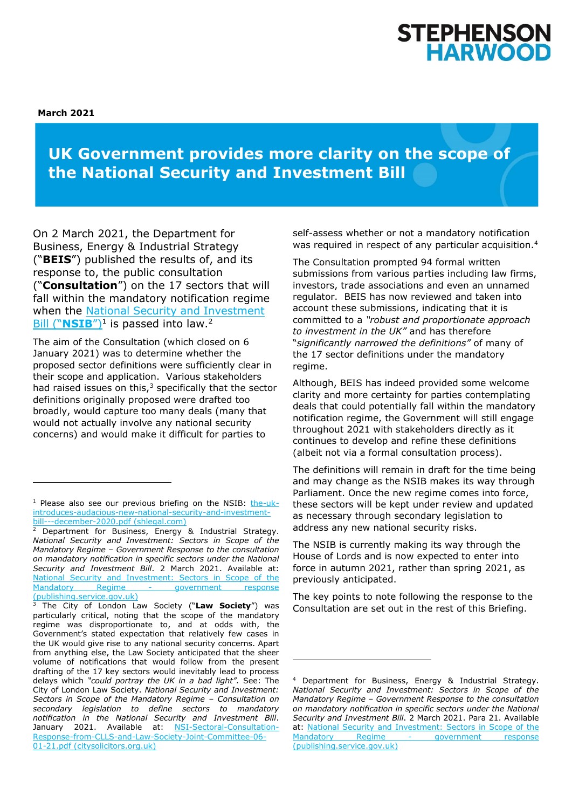# **STEPHENSO HARWOOD**

**March 2021**

# **UK Government provides more clarity on the scope of the National Security and Investment Bill**

On 2 March 2021, the Department for Business, Energy & Industrial Strategy ("**BEIS**") published the results of, and its response to, the public consultation ("**Consultation**") on the 17 sectors that will fall within the mandatory notification regime when the [National Security and Investment](https://www.shlegal.com/docs/default-source/news-insights-documents/the-uk-introduces-audacious-new-national-security-and-investment-bill---december-2020.pdf?sfvrsn=dfc9ed5b_0)  Bill ("[NSIB](https://www.shlegal.com/docs/default-source/news-insights-documents/the-uk-introduces-audacious-new-national-security-and-investment-bill---december-2020.pdf?sfvrsn=dfc9ed5b_0)")<sup>1</sup> is passed into law.<sup>2</sup>

The aim of the Consultation (which closed on 6 January 2021) was to determine whether the proposed sector definitions were sufficiently clear in their scope and application. Various stakeholders had raised issues on this, $3$  specifically that the sector definitions originally proposed were drafted too broadly, would capture too many deals (many that would not actually involve any national security concerns) and would make it difficult for parties to

<sup>3</sup> The City of London Law Society ("**Law Society**") was particularly critical, noting that the scope of the mandatory regime was disproportionate to, and at odds with, the Government's stated expectation that relatively few cases in the UK would give rise to any national security concerns. Apart from anything else, the Law Society anticipated that the sheer volume of notifications that would follow from the present drafting of the 17 key sectors would inevitably lead to process delays which *"could portray the UK in a bad light".* See: The City of London Law Society. *National Security and Investment: Sectors in Scope of the Mandatory Regime – Consultation on secondary legislation to define sectors to mandatory notification in the National Security and Investment Bill*. January 2021. Available at: [NSI-Sectoral-Consultation-](https://www.citysolicitors.org.uk/storage/2021/01/NSI-Sectoral-Consultation-Response-from-CLLS-and-Law-Society-Joint-Committee-06-01-21.pdf)[Response-from-CLLS-and-Law-Society-Joint-Committee-06-](https://www.citysolicitors.org.uk/storage/2021/01/NSI-Sectoral-Consultation-Response-from-CLLS-and-Law-Society-Joint-Committee-06-01-21.pdf) [01-21.pdf \(citysolicitors.org.uk\)](https://www.citysolicitors.org.uk/storage/2021/01/NSI-Sectoral-Consultation-Response-from-CLLS-and-Law-Society-Joint-Committee-06-01-21.pdf)

self-assess whether or not a mandatory notification was required in respect of any particular acquisition.<sup>4</sup>

The Consultation prompted 94 formal written submissions from various parties including law firms, investors, trade associations and even an unnamed regulator. BEIS has now reviewed and taken into account these submissions, indicating that it is committed to a *"robust and proportionate approach to investment in the UK"* and has therefore "*significantly narrowed the definitions"* of many of the 17 sector definitions under the mandatory regime.

Although, BEIS has indeed provided some welcome clarity and more certainty for parties contemplating deals that could potentially fall within the mandatory notification regime, the Government will still engage throughout 2021 with stakeholders directly as it continues to develop and refine these definitions (albeit not via a formal consultation process).

The definitions will remain in draft for the time being and may change as the NSIB makes its way through Parliament. Once the new regime comes into force, these sectors will be kept under review and updated as necessary through secondary legislation to address any new national security risks.

The NSIB is currently making its way through the House of Lords and is now expected to enter into force in autumn 2021, rather than spring 2021, as previously anticipated.

The key points to note following the response to the Consultation are set out in the rest of this Briefing.

<sup>&</sup>lt;sup>1</sup> Please also see our previous briefing on the NSIB: [the-uk](https://www.shlegal.com/docs/default-source/news-insights-documents/the-uk-introduces-audacious-new-national-security-and-investment-bill---december-2020.pdf?sfvrsn=dfc9ed5b_0)[introduces-audacious-new-national-security-and-investment](https://www.shlegal.com/docs/default-source/news-insights-documents/the-uk-introduces-audacious-new-national-security-and-investment-bill---december-2020.pdf?sfvrsn=dfc9ed5b_0)[bill---december-2020.pdf \(shlegal.com\)](https://www.shlegal.com/docs/default-source/news-insights-documents/the-uk-introduces-audacious-new-national-security-and-investment-bill---december-2020.pdf?sfvrsn=dfc9ed5b_0)

Department for Business, Energy & Industrial Strategy. *National Security and Investment: Sectors in Scope of the Mandatory Regime – Government Response to the consultation on mandatory notification in specific sectors under the National Security and Investment Bill*. 2 March 2021. Available at: [National Security and Investment: Sectors in Scope of the](https://assets.publishing.service.gov.uk/government/uploads/system/uploads/attachment_data/file/965784/nsi-scope-of-mandatory-regime-gov-response.pdf)  [Mandatory Regime -](https://assets.publishing.service.gov.uk/government/uploads/system/uploads/attachment_data/file/965784/nsi-scope-of-mandatory-regime-gov-response.pdf) government response [\(publishing.service.gov.uk\)](https://assets.publishing.service.gov.uk/government/uploads/system/uploads/attachment_data/file/965784/nsi-scope-of-mandatory-regime-gov-response.pdf)

<sup>4</sup> Department for Business, Energy & Industrial Strategy. *National Security and Investment: Sectors in Scope of the Mandatory Regime – Government Response to the consultation on mandatory notification in specific sectors under the National Security and Investment Bill*. 2 March 2021. Para 21. Available at: [National Security and Investment: Sectors](https://assets.publishing.service.gov.uk/government/uploads/system/uploads/attachment_data/file/965784/nsi-scope-of-mandatory-regime-gov-response.pdf) in Scope of the [Mandatory Regime -](https://assets.publishing.service.gov.uk/government/uploads/system/uploads/attachment_data/file/965784/nsi-scope-of-mandatory-regime-gov-response.pdf) government response [\(publishing.service.gov.uk\)](https://assets.publishing.service.gov.uk/government/uploads/system/uploads/attachment_data/file/965784/nsi-scope-of-mandatory-regime-gov-response.pdf)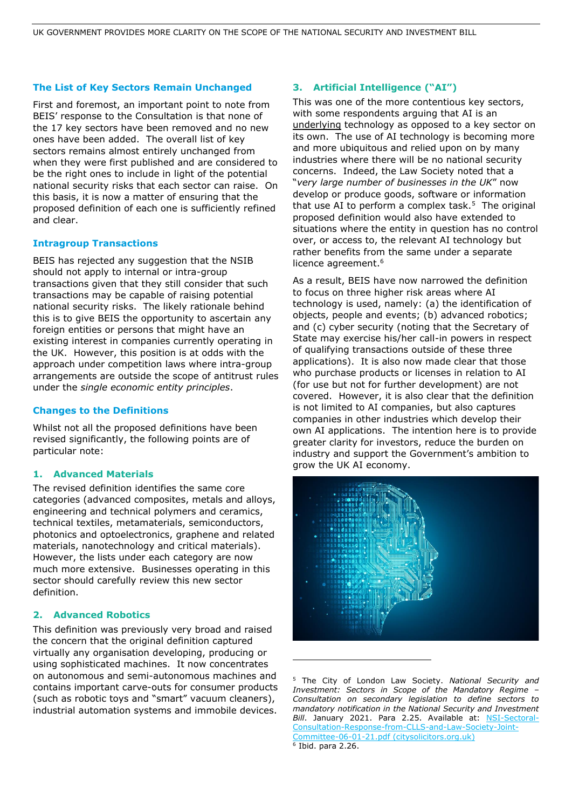## **The List of Key Sectors Remain Unchanged**

First and foremost, an important point to note from BEIS' response to the Consultation is that none of the 17 key sectors have been removed and no new ones have been added. The overall list of key sectors remains almost entirely unchanged from when they were first published and are considered to be the right ones to include in light of the potential national security risks that each sector can raise. On this basis, it is now a matter of ensuring that the proposed definition of each one is sufficiently refined and clear.

# **Intragroup Transactions**

BEIS has rejected any suggestion that the NSIB should not apply to internal or intra-group transactions given that they still consider that such transactions may be capable of raising potential national security risks. The likely rationale behind this is to give BEIS the opportunity to ascertain any foreign entities or persons that might have an existing interest in companies currently operating in the UK. However, this position is at odds with the approach under competition laws where intra-group arrangements are outside the scope of antitrust rules under the *single economic entity principles*.

# **Changes to the Definitions**

Whilst not all the proposed definitions have been revised significantly, the following points are of particular note:

## **1. Advanced Materials**

The revised definition identifies the same core categories (advanced composites, metals and alloys, engineering and technical polymers and ceramics, technical textiles, metamaterials, semiconductors, photonics and optoelectronics, graphene and related materials, nanotechnology and critical materials). However, the lists under each category are now much more extensive. Businesses operating in this sector should carefully review this new sector definition.

# **2. Advanced Robotics**

This definition was previously very broad and raised the concern that the original definition captured virtually any organisation developing, producing or using sophisticated machines. It now concentrates on autonomous and semi-autonomous machines and contains important carve-outs for consumer products (such as robotic toys and "smart" vacuum cleaners), industrial automation systems and immobile devices.

# **3. Artificial Intelligence ("AI")**

This was one of the more contentious key sectors, with some respondents arguing that AI is an underlying technology as opposed to a key sector on its own. The use of AI technology is becoming more and more ubiquitous and relied upon on by many industries where there will be no national security concerns. Indeed, the Law Society noted that a "*very large number of businesses in the UK*" now develop or produce goods, software or information that use AI to perform a complex task.<sup>5</sup> The original proposed definition would also have extended to situations where the entity in question has no control over, or access to, the relevant AI technology but rather benefits from the same under a separate licence agreement.<sup>6</sup>

As a result, BEIS have now narrowed the definition to focus on three higher risk areas where AI technology is used, namely: (a) the identification of objects, people and events; (b) advanced robotics; and (c) cyber security (noting that the Secretary of State may exercise his/her call-in powers in respect of qualifying transactions outside of these three applications). It is also now made clear that those who purchase products or licenses in relation to AI (for use but not for further development) are not covered. However, it is also clear that the definition is not limited to AI companies, but also captures companies in other industries which develop their own AI applications. The intention here is to provide greater clarity for investors, reduce the burden on industry and support the Government's ambition to grow the UK AI economy.



<sup>5</sup> The City of London Law Society. *National Security and Investment: Sectors in Scope of the Mandatory Regime – Consultation on secondary legislation to define sectors to mandatory notification in the National Security and Investment*  Bill. January 2021. Para 2.25. Available at: **[NSI-Sectoral-](https://www.citysolicitors.org.uk/storage/2021/01/NSI-Sectoral-Consultation-Response-from-CLLS-and-Law-Society-Joint-Committee-06-01-21.pdf)**[Consultation-Response-from-CLLS-and-Law-Society-Joint-](https://www.citysolicitors.org.uk/storage/2021/01/NSI-Sectoral-Consultation-Response-from-CLLS-and-Law-Society-Joint-Committee-06-01-21.pdf)[Committee-06-01-21.pdf \(citysolicitors.org.uk\)](https://www.citysolicitors.org.uk/storage/2021/01/NSI-Sectoral-Consultation-Response-from-CLLS-and-Law-Society-Joint-Committee-06-01-21.pdf) 6 Ibid. para 2.26.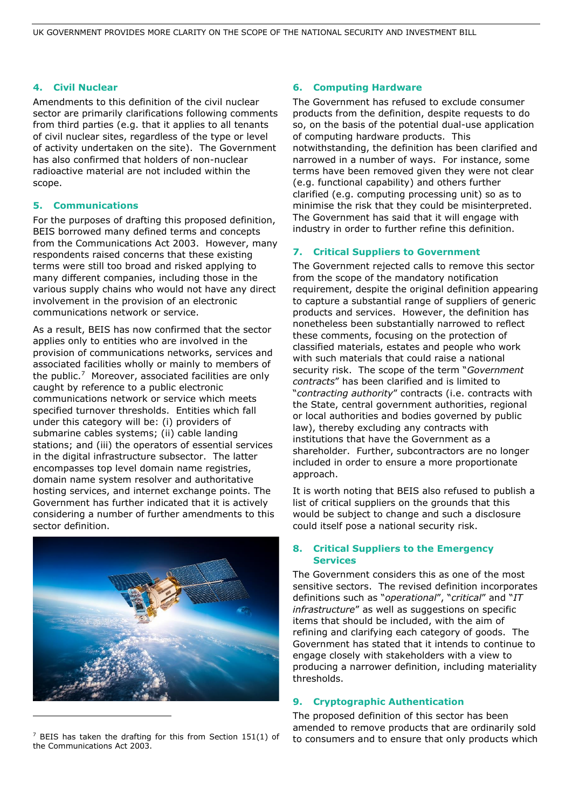# **4. Civil Nuclear**

Amendments to this definition of the civil nuclear sector are primarily clarifications following comments from third parties (e.g. that it applies to all tenants of civil nuclear sites, regardless of the type or level of activity undertaken on the site). The Government has also confirmed that holders of non-nuclear radioactive material are not included within the scope.

# **5. Communications**

For the purposes of drafting this proposed definition, BEIS borrowed many defined terms and concepts from the Communications Act 2003. However, many respondents raised concerns that these existing terms were still too broad and risked applying to many different companies, including those in the various supply chains who would not have any direct involvement in the provision of an electronic communications network or service.

As a result, BEIS has now confirmed that the sector applies only to entities who are involved in the provision of communications networks, services and associated facilities wholly or mainly to members of the public.<sup>7</sup> Moreover, associated facilities are only caught by reference to a public electronic communications network or service which meets specified turnover thresholds. Entities which fall under this category will be: (i) providers of submarine cables systems; (ii) cable landing stations; and (iii) the operators of essential services in the digital infrastructure subsector. The latter encompasses top level domain name registries, domain name system resolver and authoritative hosting services, and internet exchange points. The Government has further indicated that it is actively considering a number of further amendments to this sector definition.



 $7$  BEIS has taken the drafting for this from Section 151(1) of the Communications Act 2003.

# **6. Computing Hardware**

The Government has refused to exclude consumer products from the definition, despite requests to do so, on the basis of the potential dual-use application of computing hardware products. This notwithstanding, the definition has been clarified and narrowed in a number of ways. For instance, some terms have been removed given they were not clear (e.g. functional capability) and others further clarified (e.g. computing processing unit) so as to minimise the risk that they could be misinterpreted. The Government has said that it will engage with industry in order to further refine this definition.

# **7. Critical Suppliers to Government**

The Government rejected calls to remove this sector from the scope of the mandatory notification requirement, despite the original definition appearing to capture a substantial range of suppliers of generic products and services. However, the definition has nonetheless been substantially narrowed to reflect these comments, focusing on the protection of classified materials, estates and people who work with such materials that could raise a national security risk. The scope of the term "*Government contracts*" has been clarified and is limited to "*contracting authority*" contracts (i.e. contracts with the State, central government authorities, regional or local authorities and bodies governed by public law), thereby excluding any contracts with institutions that have the Government as a shareholder. Further, subcontractors are no longer included in order to ensure a more proportionate approach.

It is worth noting that BEIS also refused to publish a list of critical suppliers on the grounds that this would be subject to change and such a disclosure could itself pose a national security risk.

# **8. Critical Suppliers to the Emergency Services**

The Government considers this as one of the most sensitive sectors. The revised definition incorporates definitions such as "*operational*", "*critical*" and "*IT infrastructure*" as well as suggestions on specific items that should be included, with the aim of refining and clarifying each category of goods. The Government has stated that it intends to continue to engage closely with stakeholders with a view to producing a narrower definition, including materiality thresholds.

# **9. Cryptographic Authentication**

The proposed definition of this sector has been amended to remove products that are ordinarily sold to consumers and to ensure that only products which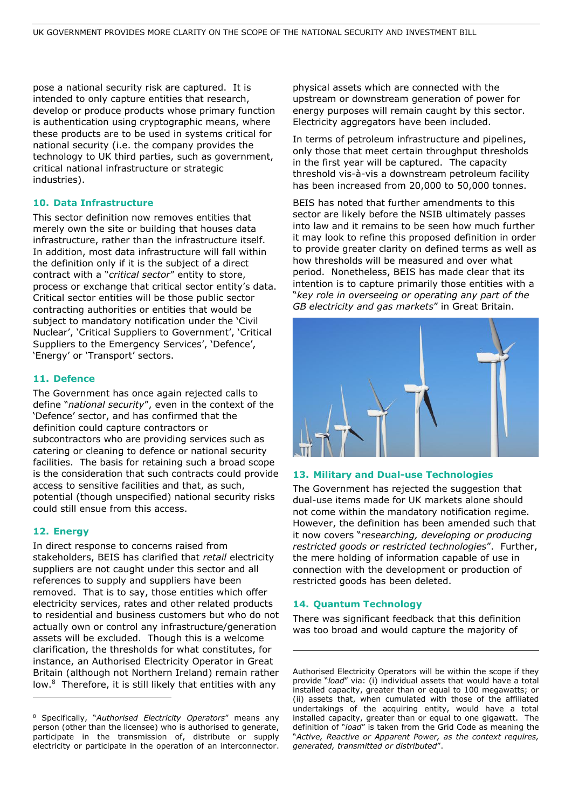pose a national security risk are captured. It is intended to only capture entities that research, develop or produce products whose primary function is authentication using cryptographic means, where these products are to be used in systems critical for national security (i.e. the company provides the technology to UK third parties, such as government, critical national infrastructure or strategic industries).

#### **10. Data Infrastructure**

This sector definition now removes entities that merely own the site or building that houses data infrastructure, rather than the infrastructure itself. In addition, most data infrastructure will fall within the definition only if it is the subject of a direct contract with a "*critical sector*" entity to store, process or exchange that critical sector entity's data. Critical sector entities will be those public sector contracting authorities or entities that would be subject to mandatory notification under the 'Civil Nuclear', 'Critical Suppliers to Government', 'Critical Suppliers to the Emergency Services', 'Defence', 'Energy' or 'Transport' sectors.

#### **11. Defence**

The Government has once again rejected calls to define "*national security*", even in the context of the 'Defence' sector, and has confirmed that the definition could capture contractors or subcontractors who are providing services such as catering or cleaning to defence or national security facilities. The basis for retaining such a broad scope is the consideration that such contracts could provide access to sensitive facilities and that, as such, potential (though unspecified) national security risks could still ensue from this access.

#### **12. Energy**

In direct response to concerns raised from stakeholders, BEIS has clarified that *retail* electricity suppliers are not caught under this sector and all references to supply and suppliers have been removed. That is to say, those entities which offer electricity services, rates and other related products to residential and business customers but who do not actually own or control any infrastructure/generation assets will be excluded. Though this is a welcome clarification, the thresholds for what constitutes, for instance, an Authorised Electricity Operator in Great Britain (although not Northern Ireland) remain rather low.<sup>8</sup> Therefore, it is still likely that entities with any

physical assets which are connected with the upstream or downstream generation of power for energy purposes will remain caught by this sector. Electricity aggregators have been included.

In terms of petroleum infrastructure and pipelines, only those that meet certain throughput thresholds in the first year will be captured. The capacity threshold vis-à-vis a downstream petroleum facility has been increased from 20,000 to 50,000 tonnes.

BEIS has noted that further amendments to this sector are likely before the NSIB ultimately passes into law and it remains to be seen how much further it may look to refine this proposed definition in order to provide greater clarity on defined terms as well as how thresholds will be measured and over what period. Nonetheless, BEIS has made clear that its intention is to capture primarily those entities with a "*key role in overseeing or operating any part of the GB electricity and gas markets*" in Great Britain.



#### **13. Military and Dual-use Technologies**

The Government has rejected the suggestion that dual-use items made for UK markets alone should not come within the mandatory notification regime. However, the definition has been amended such that it now covers "*researching, developing or producing restricted goods or restricted technologies*". Further, the mere holding of information capable of use in connection with the development or production of restricted goods has been deleted.

# **14. Quantum Technology**

There was significant feedback that this definition was too broad and would capture the majority of

<sup>8</sup> Specifically, "*Authorised Electricity Operators*" means any person (other than the licensee) who is authorised to generate, participate in the transmission of, distribute or supply electricity or participate in the operation of an interconnector.

Authorised Electricity Operators will be within the scope if they provide "*load*" via: (i) individual assets that would have a total installed capacity, greater than or equal to 100 megawatts; or (ii) assets that, when cumulated with those of the affiliated undertakings of the acquiring entity, would have a total installed capacity, greater than or equal to one gigawatt. The definition of "*load*" is taken from the Grid Code as meaning the "*Active, Reactive or Apparent Power, as the context requires, generated, transmitted or distributed*".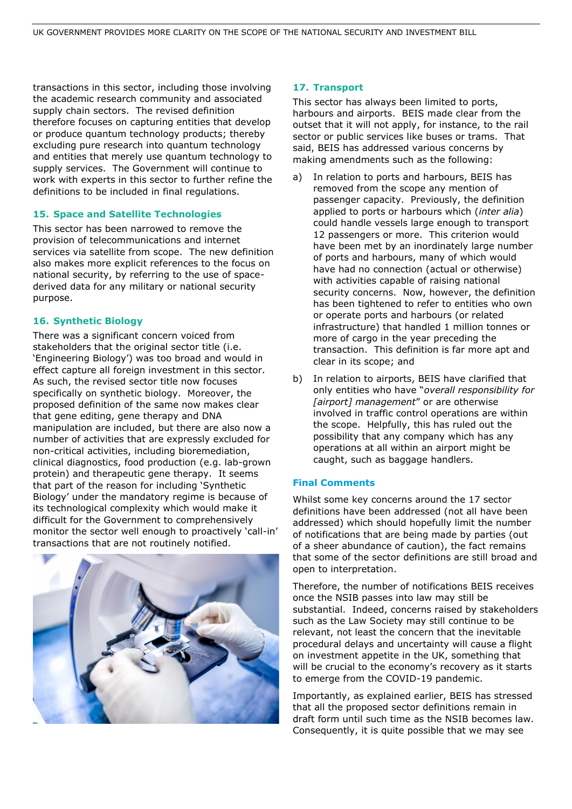transactions in this sector, including those involving the academic research community and associated supply chain sectors. The revised definition therefore focuses on capturing entities that develop or produce quantum technology products; thereby excluding pure research into quantum technology and entities that merely use quantum technology to supply services. The Government will continue to work with experts in this sector to further refine the definitions to be included in final regulations.

# **15. Space and Satellite Technologies**

This sector has been narrowed to remove the provision of telecommunications and internet services via satellite from scope. The new definition also makes more explicit references to the focus on national security, by referring to the use of spacederived data for any military or national security purpose.

# **16. Synthetic Biology**

There was a significant concern voiced from stakeholders that the original sector title (i.e. 'Engineering Biology') was too broad and would in effect capture all foreign investment in this sector. As such, the revised sector title now focuses specifically on synthetic biology. Moreover, the proposed definition of the same now makes clear that gene editing, gene therapy and DNA manipulation are included, but there are also now a number of activities that are expressly excluded for non-critical activities, including bioremediation, clinical diagnostics, food production (e.g. lab-grown protein) and therapeutic gene therapy. It seems that part of the reason for including 'Synthetic Biology' under the mandatory regime is because of its technological complexity which would make it difficult for the Government to comprehensively monitor the sector well enough to proactively 'call-in' transactions that are not routinely notified.



## **17. Transport**

This sector has always been limited to ports, harbours and airports. BEIS made clear from the outset that it will not apply, for instance, to the rail sector or public services like buses or trams. That said, BEIS has addressed various concerns by making amendments such as the following:

- a) In relation to ports and harbours, BEIS has removed from the scope any mention of passenger capacity. Previously, the definition applied to ports or harbours which (*inter alia*) could handle vessels large enough to transport 12 passengers or more. This criterion would have been met by an inordinately large number of ports and harbours, many of which would have had no connection (actual or otherwise) with activities capable of raising national security concerns. Now, however, the definition has been tightened to refer to entities who own or operate ports and harbours (or related infrastructure) that handled 1 million tonnes or more of cargo in the year preceding the transaction. This definition is far more apt and clear in its scope; and
- b) In relation to airports, BEIS have clarified that only entities who have "*overall responsibility for [airport] management*" or are otherwise involved in traffic control operations are within the scope. Helpfully, this has ruled out the possibility that any company which has any operations at all within an airport might be caught, such as baggage handlers.

## **Final Comments**

Whilst some key concerns around the 17 sector definitions have been addressed (not all have been addressed) which should hopefully limit the number of notifications that are being made by parties (out of a sheer abundance of caution), the fact remains that some of the sector definitions are still broad and open to interpretation.

Therefore, the number of notifications BEIS receives once the NSIB passes into law may still be substantial. Indeed, concerns raised by stakeholders such as the Law Society may still continue to be relevant, not least the concern that the inevitable procedural delays and uncertainty will cause a flight on investment appetite in the UK, something that will be crucial to the economy's recovery as it starts to emerge from the COVID-19 pandemic.

Importantly, as explained earlier, BEIS has stressed that all the proposed sector definitions remain in draft form until such time as the NSIB becomes law. Consequently, it is quite possible that we may see